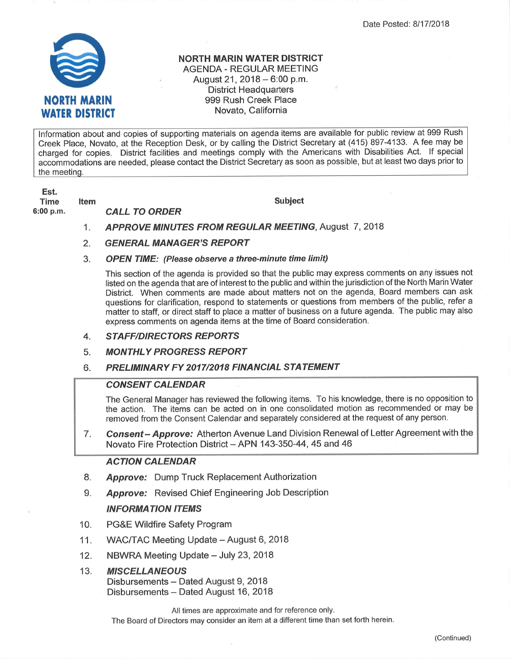

#### NORTH MARIN WATER DISTRICT AGENDA . REGULAR MEETING August 21, 2018  $-6:00$  p.m. District Headquarters 999 Rush Creek Place Novato, California

lnformation about and copies of supporting materials on agenda items are available for public review at 999 Rush Creek Place, Novato, at the Reception Desk, or by calling the District Secretary at (415 ) 897-4133. A fee may be charged for copies. District facilities and meetings comply with the Americans with Disabilities Act. lf special accommodations are needed, please contact the District Secretary as soon as possible, but at least two days prior to the meeting.

Est. Time

6:00 p.m.

CALL TO ORDER Item

Subject

- APPROVE MINUTES FROM REGULAR MEETING, August 7, 2018 1
- GENERAL MANAGER'S REPORT 2.
- OPEN TIME: (Please obserue a three-minute time limit) 3

This section of the agenda is provided so that the public may express comments on any issues not listed on the agenda that are of interest to the public and within the jurisdiction of the North Marin Water District. When comments are made about matters not on the agenda, Board members can ask questions for clarification, respond to statements or questions from members of the public, refer a matter to staff, or direct staff to place a matter of business on a future agenda. The public may also express comments on agenda items at the time of Board consideration.

- **STAFF/DIRECTORS REPORTS** 4.
- **MONTHLY PROGRESS REPORT** 5.
- PRELIMINARY FY 2017/2018 FINANCIAL STATEMENT 6.

# **CONSENT CALENDAR**

The General Manager has reviewed the following items. To his knowledge, there is no opposition to the action. The items can be acted on in one consolidated motion as recommended or may be removed from the Consent Calendar and separately considered at the request of any person.

7 Consent - Approve: Atherton Avenue Land Division Renewal of Letter Agreement with the Novato Fire Protection District - APN 143-350-44, 45 and 46

# ACTION CALENDAR

- Approve: Dump Truck Replacement Authorization 8.
- **Approve:** Revised Chief Engineering Job Description o

# INFORMATION ITEMS

- PG&E Wildfire Safety Program 10.
- WAC/TAC Meeting Update August 6, 2018 11.
- NBWRA Meeting Update July 23, 2018 12.
- **MISCELLANEOUS** Disbursements - Dated August 9, 2018 Disbursements - Dated August 16, 2018 13.

All times are approximate and for reference only.

The Board of Directors may consider an item at a different time than set forth herein.